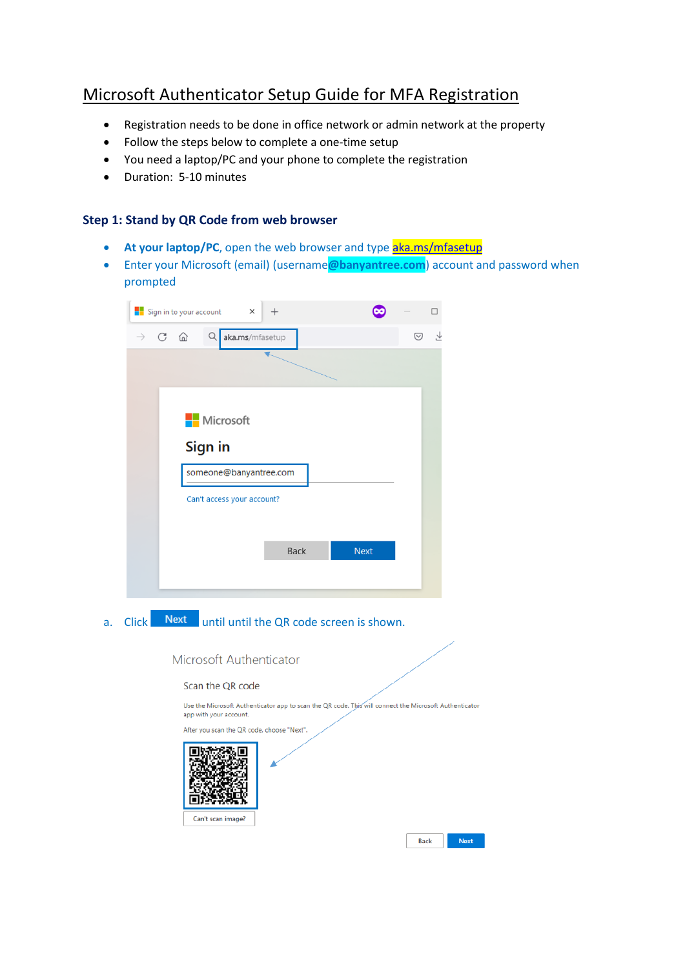# Microsoft Authenticator Setup Guide for MFA Registration

- Registration needs to be done in office network or admin network at the property
- Follow the steps below to complete a one-time setup
- You need a laptop/PC and your phone to complete the registration
- Duration: 5-10 minutes

### **Step 1: Stand by QR Code from web browser**

- At your laptop/PC, open the web browser and type [aka.ms/mfasetup](https://aka.ms/mfasetup)
- Enter your Microsoft (email) (username**@banyantree.com**) account and password when prompted

|                                | Sign in to your account<br>×<br>$\,+\,$ |             |         |
|--------------------------------|-----------------------------------------|-------------|---------|
| $\rightarrow$ C $\hat{\omega}$ | Q<br>aka.ms/mfasetup                    |             | Y,<br>☑ |
|                                |                                         |             |         |
|                                |                                         |             |         |
|                                |                                         |             |         |
|                                | Microsoft                               |             |         |
|                                | Sign in                                 |             |         |
|                                | someone@banyantree.com                  |             |         |
|                                | Can't access your account?              |             |         |
|                                |                                         |             |         |
|                                | Back                                    | <b>Next</b> |         |
|                                |                                         |             |         |
|                                |                                         |             |         |

a. Click Next until until the QR code screen is shown.



Next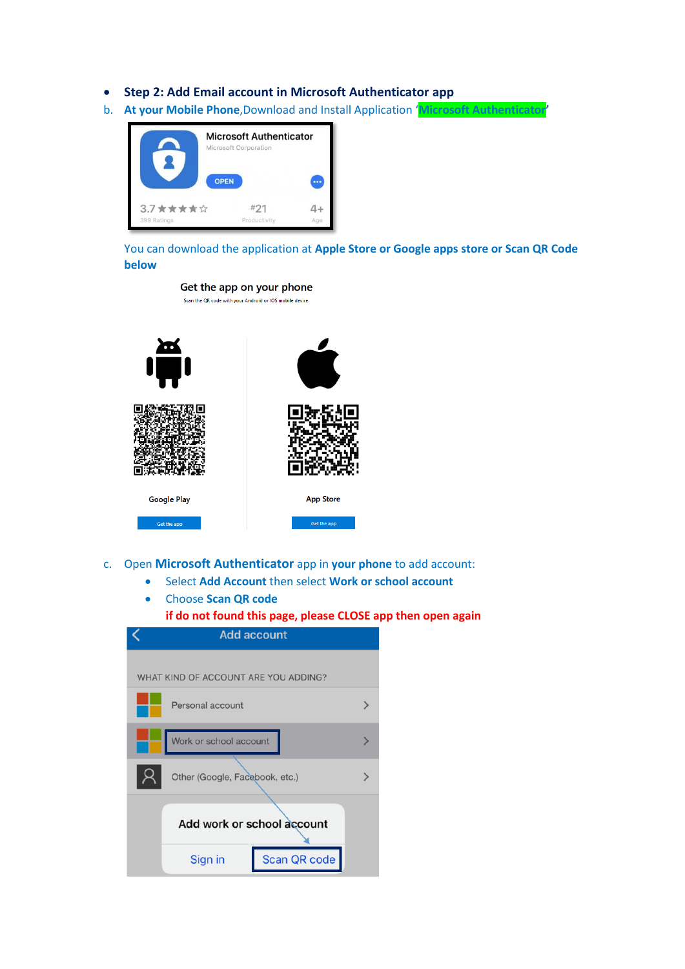- **Step 2: Add Email account in Microsoft Authenticator app**
- b. **At your Mobile Phone**,Download and Install Application '**Microsoft Authenticator'**



You can download the application at **Apple Store or Google apps store or Scan QR Code below**



- c. Open **Microsoft Authenticator** app in **your phone** to add account:
	- Select **Add Account** then select **Work or school account**
	- Choose **Scan QR code**
		- **if do not found this page, please CLOSE app then open again**

| <b>Add account</b>                   |                                |              |   |  |
|--------------------------------------|--------------------------------|--------------|---|--|
|                                      |                                |              |   |  |
| WHAT KIND OF ACCOUNT ARE YOU ADDING? |                                |              |   |  |
|                                      | Personal account               |              |   |  |
|                                      | Work or school account         |              |   |  |
|                                      | Other (Google, Facebook, etc.) |              | ゝ |  |
|                                      |                                |              |   |  |
| Add work or school account           |                                |              |   |  |
|                                      | Sign in                        | Scan QR code |   |  |